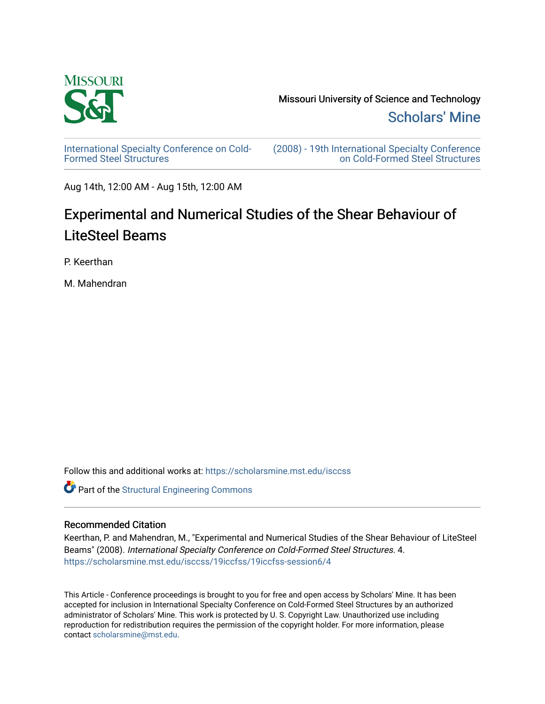

[Scholars' Mine](https://scholarsmine.mst.edu/) 

[International Specialty Conference on Cold-](https://scholarsmine.mst.edu/isccss)[Formed Steel Structures](https://scholarsmine.mst.edu/isccss) 

[\(2008\) - 19th International Specialty Conference](https://scholarsmine.mst.edu/isccss/19iccfss)  [on Cold-Formed Steel Structures](https://scholarsmine.mst.edu/isccss/19iccfss) 

Aug 14th, 12:00 AM - Aug 15th, 12:00 AM

# Experimental and Numerical Studies of the Shear Behaviour of LiteSteel Beams

P. Keerthan

M. Mahendran

Follow this and additional works at: [https://scholarsmine.mst.edu/isccss](https://scholarsmine.mst.edu/isccss?utm_source=scholarsmine.mst.edu%2Fisccss%2F19iccfss%2F19iccfss-session6%2F4&utm_medium=PDF&utm_campaign=PDFCoverPages) 

Part of the [Structural Engineering Commons](http://network.bepress.com/hgg/discipline/256?utm_source=scholarsmine.mst.edu%2Fisccss%2F19iccfss%2F19iccfss-session6%2F4&utm_medium=PDF&utm_campaign=PDFCoverPages) 

# Recommended Citation

Keerthan, P. and Mahendran, M., "Experimental and Numerical Studies of the Shear Behaviour of LiteSteel Beams" (2008). International Specialty Conference on Cold-Formed Steel Structures. 4. [https://scholarsmine.mst.edu/isccss/19iccfss/19iccfss-session6/4](https://scholarsmine.mst.edu/isccss/19iccfss/19iccfss-session6/4?utm_source=scholarsmine.mst.edu%2Fisccss%2F19iccfss%2F19iccfss-session6%2F4&utm_medium=PDF&utm_campaign=PDFCoverPages)

This Article - Conference proceedings is brought to you for free and open access by Scholars' Mine. It has been accepted for inclusion in International Specialty Conference on Cold-Formed Steel Structures by an authorized administrator of Scholars' Mine. This work is protected by U. S. Copyright Law. Unauthorized use including reproduction for redistribution requires the permission of the copyright holder. For more information, please contact [scholarsmine@mst.edu](mailto:scholarsmine@mst.edu).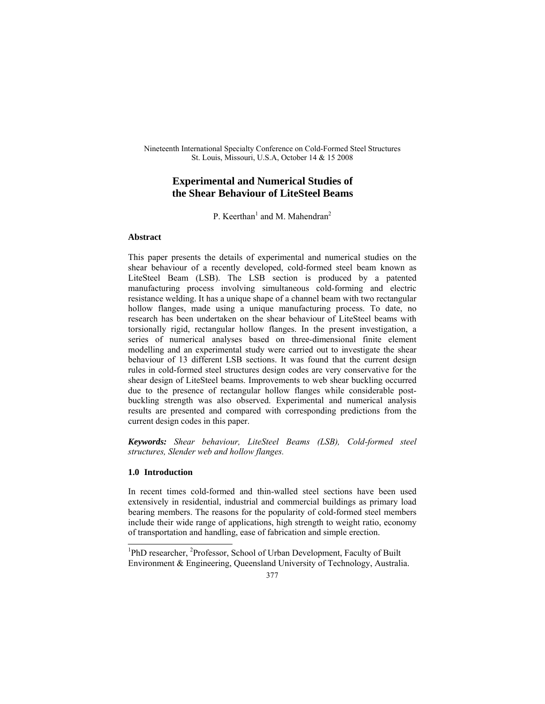Nineteenth International Specialty Conference on Cold-Formed Steel Structures St. Louis, Missouri, U.S.A, October 14 & 15 2008

# **Experimental and Numerical Studies of the Shear Behaviour of LiteSteel Beams**

P. Keerthan<sup>1</sup> and M. Mahendran<sup>2</sup>

## **Abstract**

This paper presents the details of experimental and numerical studies on the shear behaviour of a recently developed, cold-formed steel beam known as LiteSteel Beam (LSB). The LSB section is produced by a patented manufacturing process involving simultaneous cold-forming and electric resistance welding. It has a unique shape of a channel beam with two rectangular hollow flanges, made using a unique manufacturing process. To date, no research has been undertaken on the shear behaviour of LiteSteel beams with torsionally rigid, rectangular hollow flanges. In the present investigation, a series of numerical analyses based on three-dimensional finite element modelling and an experimental study were carried out to investigate the shear behaviour of 13 different LSB sections. It was found that the current design rules in cold-formed steel structures design codes are very conservative for the shear design of LiteSteel beams. Improvements to web shear buckling occurred due to the presence of rectangular hollow flanges while considerable postbuckling strength was also observed. Experimental and numerical analysis results are presented and compared with corresponding predictions from the current design codes in this paper.

*Keywords: Shear behaviour, LiteSteel Beams (LSB), Cold-formed steel structures, Slender web and hollow flanges.* 

# **1.0 Introduction**

In recent times cold-formed and thin-walled steel sections have been used extensively in residential, industrial and commercial buildings as primary load bearing members. The reasons for the popularity of cold-formed steel members include their wide range of applications, high strength to weight ratio, economy of transportation and handling, ease of fabrication and simple erection.

<sup>&</sup>lt;sup>1</sup>PhD researcher, <sup>2</sup>Professor, School of Urban Development, Faculty of Built Environment & Engineering, Queensland University of Technology, Australia.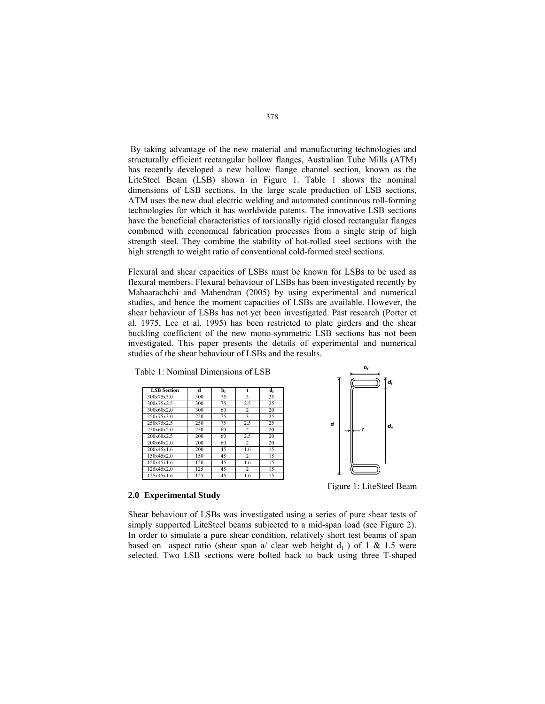By taking advantage of the new material and manufacturing technologies and structurally efficient rectangular hollow flanges, Australian Tube Mills (ATM) has recently developed a new hollow flange channel section, known as the LiteSteel Beam (LSB) shown in Figure 1. Table 1 shows the nominal dimensions of LSB sections. In the large scale production of LSB sections, ATM uses the new dual electric welding and automated continuous roll-forming technologies for which it has worldwide patents. The innovative LSB sections have the beneficial characteristics of torsionally rigid closed rectangular flanges combined with economical fabrication processes from a single strip of high strength steel. They combine the stability of hot-rolled steel sections with the high strength to weight ratio of conventional cold-formed steel sections.

Flexural and shear capacities of LSBs must be known for LSBs to be used as flexural members. Flexural behaviour of LSBs has been investigated recently by Mahaarachchi and Mahendran (2005) by using experimental and numerical studies, and hence the moment capacities of LSBs are available. However, the shear behaviour of LSBs has not yet been investigated. Past research (Porter et al. 1975, Lee et al. 1995) has been restricted to plate girders and the shear buckling coefficient of the new mono-symmetric LSB sections has not been investigated. This paper presents the details of experimental and numerical studies of the shear behaviour of LSBs and the results.

| Table 1: Nominal Dimensions of LSB |     |                           |     |    |
|------------------------------------|-----|---------------------------|-----|----|
| <b>LSB</b> Section                 | d   | $\mathbf{b}_{\mathbf{f}}$ | t   | de |
| 300x75x3.0                         | 300 | 75                        | 3   | 25 |
| 300x75x2.5                         | 300 | 75                        | 2.5 | 25 |
| 300x60x2.0                         | 300 | 60                        | 2   | 20 |
| 250x75x3.0                         | 250 | 75                        | 3   | 25 |
| 250x75x2.5                         | 250 | 75                        | 2.5 | 25 |
| 250x60x20                          | 250 | 60                        | 2   | 20 |
| 200x60x2.5                         | 200 | 60                        | 2.5 | 20 |
| 200x60x20                          | 200 | 60                        | 2   | 20 |
| 200x45x16                          | 200 | 45                        | 1.6 | 15 |
| 150x45x20                          | 150 | 45                        | 2   | 15 |
| 150x45x1.6                         | 150 | 45                        | 16  | 15 |
| 125x45x20                          | 125 | 45                        | 2   | 15 |
| 125x45x16                          | 125 | 45                        | 1.6 | 15 |



Figure 1: LiteSteel Beam

## **2.0 Experimental Study**

Shear behaviour of LSBs was investigated using a series of pure shear tests of simply supported LiteSteel beams subjected to a mid-span load (see Figure 2). In order to simulate a pure shear condition, relatively short test beams of span based on aspect ratio (shear span a/ clear web height  $d_1$ ) of 1 & 1.5 were selected. Two LSB sections were bolted back to back using three T-shaped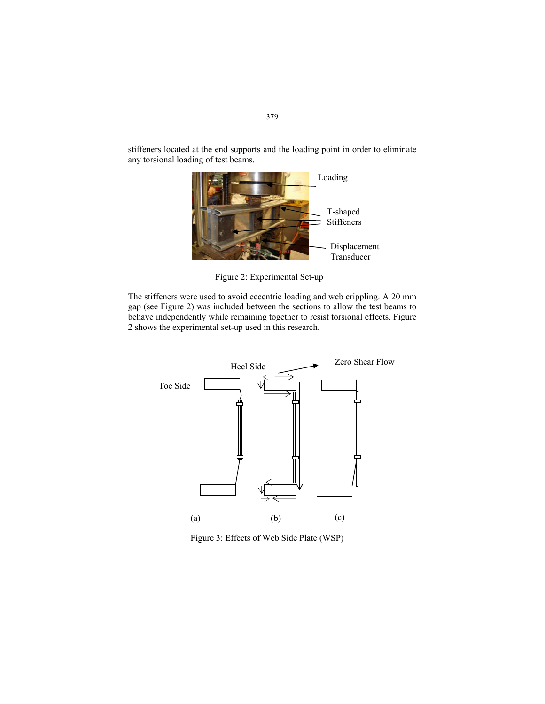stiffeners located at the end supports and the loading point in order to eliminate any torsional loading of test beams.



Figure 2: Experimental Set-up

.

The stiffeners were used to avoid eccentric loading and web crippling. A 20 mm gap (see Figure 2) was included between the sections to allow the test beams to behave independently while remaining together to resist torsional effects. Figure 2 shows the experimental set-up used in this research.



Figure 3: Effects of Web Side Plate (WSP)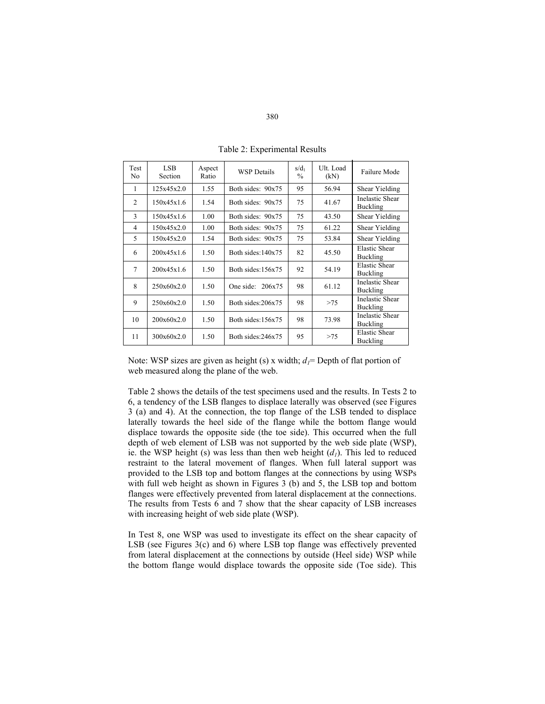| <b>Test</b><br>No | LSB.<br>Section | Aspect<br>Ratio | $s/d_1$<br><b>WSP</b> Details<br>$\frac{0}{0}$ |    | Ult. Load<br>(kN) | Failure Mode                              |
|-------------------|-----------------|-----------------|------------------------------------------------|----|-------------------|-------------------------------------------|
| 1                 | 125x45x2.0      | 1.55            | Both sides: 90x75                              | 95 | 56.94             | Shear Yielding                            |
| 2                 | 150x45x1.6      | 1.54            | Both sides: 90x75                              | 75 | 41.67             | <b>Inelastic Shear</b><br>Buckling        |
| 3                 | 150x45x1.6      | 1.00            | Both sides: 90x75                              | 75 | 43.50             | Shear Yielding                            |
| $\overline{4}$    | 150x45x2.0      | 1.00            | Both sides: 90x75                              | 75 | 61.22             | Shear Yielding                            |
| 5                 | 150x45x2.0      | 1.54            | Both sides: 90x75                              | 75 | 53.84             | Shear Yielding                            |
| 6                 | 200x45x1.6      | 1.50            | Both sides:140x75                              | 82 | 45.50             | <b>Elastic Shear</b><br>Buckling          |
| 7                 | 200x45x1.6      | 1.50            | Both sides: 156x75                             | 92 | 54.19             | <b>Elastic Shear</b><br>Buckling          |
| 8                 | 250x60x2.0      | 1.50            | One side: $206x75$                             | 98 | 61.12             | <b>Inelastic Shear</b><br>Buckling        |
| 9                 | 250x60x2.0      | 1.50            | Both sides:206x75                              | 98 | >75               | <b>Inelastic Shear</b><br><b>Buckling</b> |
| 10                | 200x60x2.0      | 1.50            | Both sides: 156x75                             | 98 | 73.98             | <b>Inelastic Shear</b><br>Buckling        |
| 11                | 300x60x2.0      | 1.50            | Both sides:246x75                              | 95 | >75               | <b>Elastic Shear</b><br>Buckling          |

Table 2: Experimental Results

Note: WSP sizes are given as height (s) x width;  $d_l$ = Depth of flat portion of web measured along the plane of the web.

Table 2 shows the details of the test specimens used and the results. In Tests 2 to 6, a tendency of the LSB flanges to displace laterally was observed (see Figures 3 (a) and 4). At the connection, the top flange of the LSB tended to displace laterally towards the heel side of the flange while the bottom flange would displace towards the opposite side (the toe side). This occurred when the full depth of web element of LSB was not supported by the web side plate (WSP), ie. the WSP height (s) was less than then web height  $(d<sub>l</sub>)$ . This led to reduced restraint to the lateral movement of flanges. When full lateral support was provided to the LSB top and bottom flanges at the connections by using WSPs with full web height as shown in Figures 3 (b) and 5, the LSB top and bottom flanges were effectively prevented from lateral displacement at the connections. The results from Tests 6 and 7 show that the shear capacity of LSB increases with increasing height of web side plate (WSP).

In Test 8, one WSP was used to investigate its effect on the shear capacity of LSB (see Figures 3(c) and 6) where LSB top flange was effectively prevented from lateral displacement at the connections by outside (Heel side) WSP while the bottom flange would displace towards the opposite side (Toe side). This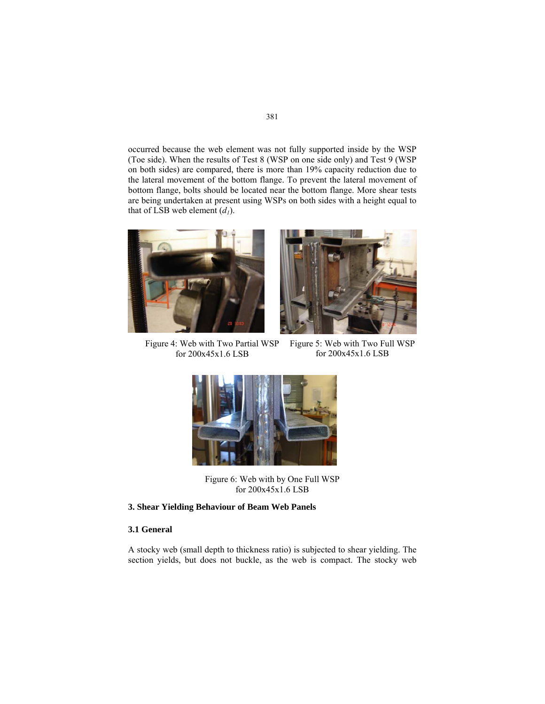occurred because the web element was not fully supported inside by the WSP (Toe side). When the results of Test 8 (WSP on one side only) and Test 9 (WSP on both sides) are compared, there is more than 19% capacity reduction due to the lateral movement of the bottom flange. To prevent the lateral movement of bottom flange, bolts should be located near the bottom flange. More shear tests are being undertaken at present using WSPs on both sides with a height equal to that of LSB web element  $(d<sub>l</sub>)$ .





Figure 4: Web with Two Partial WSP for 200x45x1.6 LSB

Figure 5: Web with Two Full WSP for 200x45x1.6 LSB



Figure 6: Web with by One Full WSP for 200x45x1.6 LSB

## **3. Shear Yielding Behaviour of Beam Web Panels**

# **3.1 General**

A stocky web (small depth to thickness ratio) is subjected to shear yielding. The section yields, but does not buckle, as the web is compact. The stocky web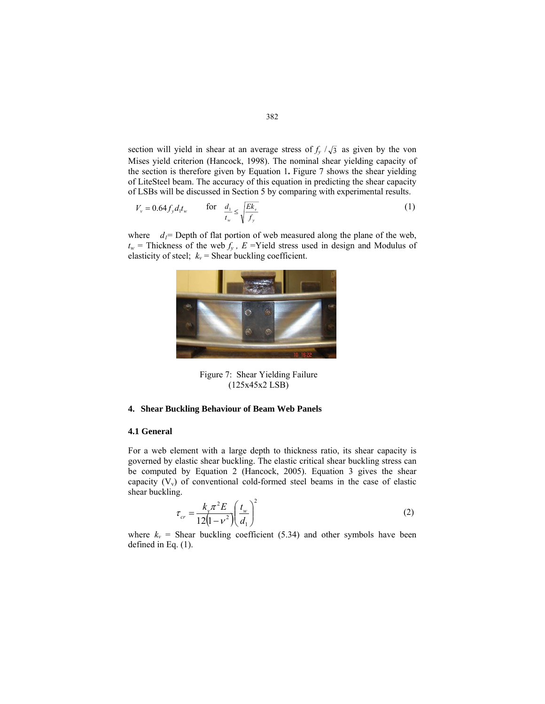section will yield in shear at an average stress of  $f_y / \sqrt{3}$  as given by the von Mises yield criterion (Hancock, 1998). The nominal shear yielding capacity of the section is therefore given by Equation 1**.** Figure 7 shows the shear yielding of LiteSteel beam. The accuracy of this equation in predicting the shear capacity of LSBs will be discussed in Section 5 by comparing with experimental results.

$$
V_{v} = 0.64 f_{y} d_{1} t_{w} \qquad \text{for} \quad \frac{d_{1}}{t_{w}} \le \sqrt{\frac{Ek_{v}}{f_{y}}}
$$
 (1)

where  $d_1$ = Depth of flat portion of web measured along the plane of the web,  $t_w$  = Thickness of the web  $f_v$ ,  $E$  =Yield stress used in design and Modulus of elasticity of steel;  $k_v$  = Shear buckling coefficient.



Figure 7: Shear Yielding Failure (125x45x2 LSB)

#### **4. Shear Buckling Behaviour of Beam Web Panels**

#### **4.1 General**

For a web element with a large depth to thickness ratio, its shear capacity is governed by elastic shear buckling. The elastic critical shear buckling stress can be computed by Equation 2 (Hancock, 2005). Equation 3 gives the shear capacity  $(V_v)$  of conventional cold-formed steel beams in the case of elastic shear buckling.

$$
\tau_{cr} = \frac{k_v \pi^2 E}{12(1 - v^2)} \left(\frac{t_w}{d_1}\right)^2
$$
\n(2)

where  $k_v$  = Shear buckling coefficient (5.34) and other symbols have been defined in Eq. (1).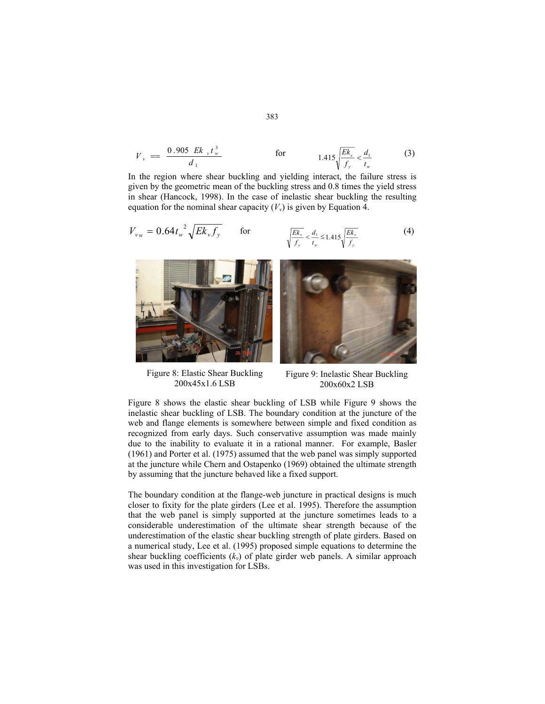$$
V_{v} = \frac{0.905 \ E k_{v} t_{w}^{3}}{d_{1}}
$$
 for  $1.415 \sqrt{\frac{E k_{v}}{f_{v}}} < \frac{d_{1}}{t_{w}}$  (3)

In the region where shear buckling and yielding interact, the failure stress is given by the geometric mean of the buckling stress and 0.8 times the yield stress in shear (Hancock, 1998). In the case of inelastic shear buckling the resulting equation for the nominal shear capacity  $(V_v)$  is given by Equation 4.

$$
V_{vw} = 0.64t_w^2 \sqrt{Ek_v f_y} \qquad \text{for} \qquad \sqrt{\frac{Ek_v}{f_y}} < \frac{d_1}{t_w} \le 1.415 \sqrt{\frac{Ek_v}{f_y}} \tag{4}
$$



Figure 8: Elastic Shear Buckling 200x45x1.6 LSB

Figure 9: Inelastic Shear Buckling 200x60x2 LSB

Figure 8 shows the elastic shear buckling of LSB while Figure 9 shows the inelastic shear buckling of LSB. The boundary condition at the juncture of the web and flange elements is somewhere between simple and fixed condition as recognized from early days. Such conservative assumption was made mainly due to the inability to evaluate it in a rational manner. For example, Basler (1961) and Porter et al. (1975) assumed that the web panel was simply supported at the juncture while Chern and Ostapenko (1969) obtained the ultimate strength by assuming that the juncture behaved like a fixed support.

The boundary condition at the flange-web juncture in practical designs is much closer to fixity for the plate girders (Lee et al. 1995). Therefore the assumption that the web panel is simply supported at the juncture sometimes leads to a considerable underestimation of the ultimate shear strength because of the underestimation of the elastic shear buckling strength of plate girders. Based on a numerical study, Lee et al. (1995) proposed simple equations to determine the shear buckling coefficients  $(k_v)$  of plate girder web panels. A similar approach was used in this investigation for LSBs.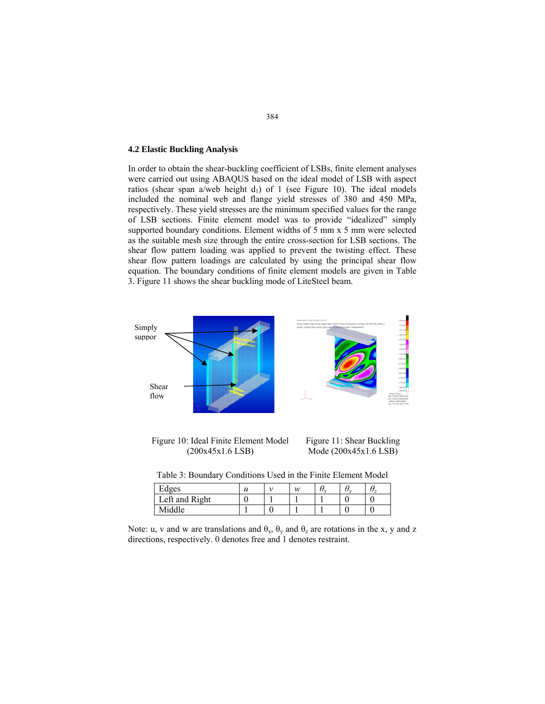#### **4.2 Elastic Buckling Analysis**

In order to obtain the shear-buckling coefficient of LSBs, finite element analyses were carried out using ABAQUS based on the ideal model of LSB with aspect ratios (shear span a/web height  $d_1$ ) of 1 (see Figure 10). The ideal models included the nominal web and flange yield stresses of 380 and 450 MPa, respectively. These yield stresses are the minimum specified values for the range of LSB sections. Finite element model was to provide "idealized" simply supported boundary conditions. Element widths of 5 mm x 5 mm were selected as the suitable mesh size through the entire cross-section for LSB sections. The shear flow pattern loading was applied to prevent the twisting effect. These shear flow pattern loadings are calculated by using the principal shear flow equation. The boundary conditions of finite element models are given in Table 3. Figure 11 shows the shear buckling mode of LiteSteel beam.



Figure 10: Ideal Finite Element Model (200x45x1.6 LSB)

Figure 11: Shear Buckling Mode (200x45x1.6 LSB)

Table 3: Boundary Conditions Used in the Finite Element Model

| $\mathbf{r}$ 1<br>Edges | v | w | びゃ | U, | ◡ |
|-------------------------|---|---|----|----|---|
| Left and Right          |   |   |    |    |   |
| Middle                  |   |   |    |    |   |

Note: u, v and w are translations and  $\theta_x$ ,  $\theta_y$  and  $\theta_z$  are rotations in the x, y and z directions, respectively. 0 denotes free and 1 denotes restraint.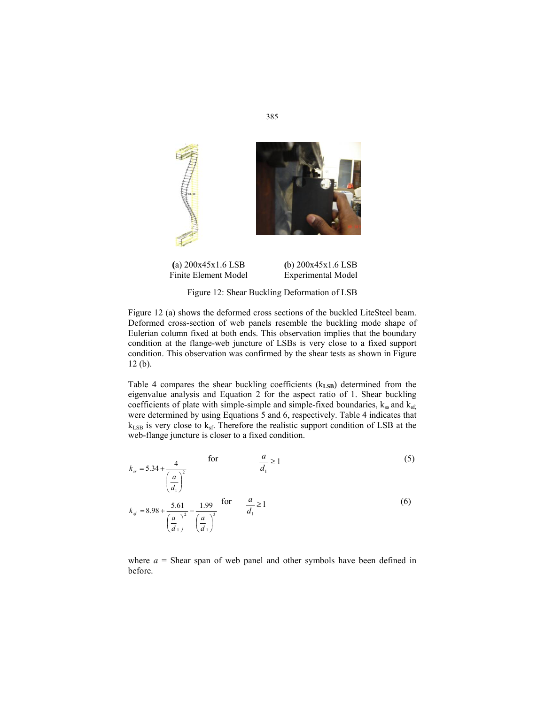

**(**a) 200x45x1.6 LSB Finite Element Model **(**b) 200x45x1.6 LSB Experimental Model

Figure 12: Shear Buckling Deformation of LSB

Figure 12 (a) shows the deformed cross sections of the buckled LiteSteel beam. Deformed cross-section of web panels resemble the buckling mode shape of Eulerian column fixed at both ends. This observation implies that the boundary condition at the flange-web juncture of LSBs is very close to a fixed support condition. This observation was confirmed by the shear tests as shown in Figure 12 (b).

Table 4 compares the shear buckling coefficients ( $k_{LSB}$ ) determined from the eigenvalue analysis and Equation 2 for the aspect ratio of 1. Shear buckling coefficients of plate with simple-simple and simple-fixed boundaries,  $k_{ss}$  and  $k_{sf}$ . were determined by using Equations 5 and 6, respectively. Table 4 indicates that  $k_{LSB}$  is very close to  $k_{sf}$ . Therefore the realistic support condition of LSB at the web-flange juncture is closer to a fixed condition.

$$
k_{ss} = 5.34 + \frac{4}{\left(\frac{a}{d_1}\right)^2} \qquad \text{for} \qquad \frac{a}{d_1} \ge 1 \tag{5}
$$

$$
\begin{pmatrix} d_1 \\ d_2 \end{pmatrix}
$$
  
\n
$$
k_{sf} = 8.98 + \frac{5.61}{\left(\frac{a}{d_1}\right)^2} - \frac{1.99}{\left(\frac{a}{d_1}\right)^3}
$$
 for  $\frac{a}{d_1} \ge 1$  (6)

where  $a =$  Shear span of web panel and other symbols have been defined in before.

385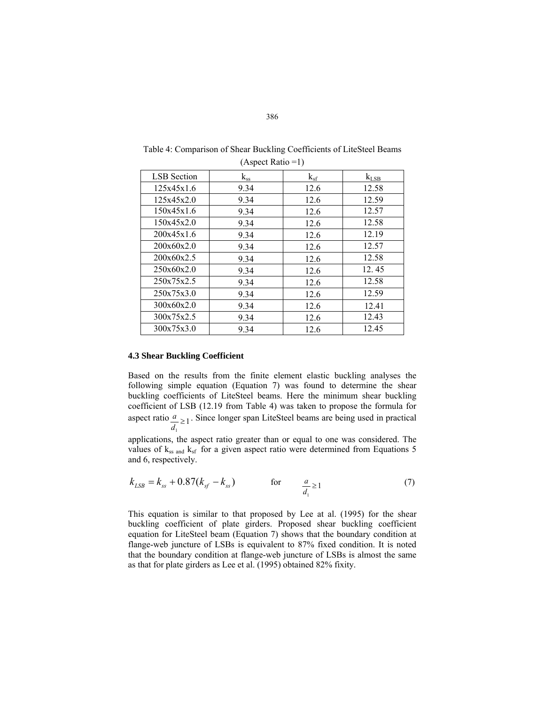| (Aspect Ratio = 1) |          |          |           |  |  |  |
|--------------------|----------|----------|-----------|--|--|--|
| <b>LSB</b> Section | $k_{ss}$ | $k_{sf}$ | $k_{LSB}$ |  |  |  |
| 125x45x1.6         | 9.34     | 12.6     | 12.58     |  |  |  |
| 125x45x2.0         | 9.34     | 12.6     | 12.59     |  |  |  |
| 150x45x1.6         | 9.34     | 12.6     | 12.57     |  |  |  |
| 150x45x2.0         | 9.34     | 12.6     | 12.58     |  |  |  |
| 200x45x1.6         | 9.34     | 12.6     | 12.19     |  |  |  |
| 200x60x2.0         | 9.34     | 12.6     | 12.57     |  |  |  |
| 200x60x2.5         | 9.34     | 12.6     | 12.58     |  |  |  |
| 250x60x2.0         | 9.34     | 12.6     | 12.45     |  |  |  |
| 250x75x2.5         | 9.34     | 12.6     | 12.58     |  |  |  |
| 250x75x3.0         | 9.34     | 12.6     | 12.59     |  |  |  |
| 300x60x2.0         | 9.34     | 12.6     | 12.41     |  |  |  |
| 300x75x2.5         | 9.34     | 12.6     | 12.43     |  |  |  |
| 300x75x3.0         | 9.34     | 12.6     | 12.45     |  |  |  |

Table 4: Comparison of Shear Buckling Coefficients of LiteSteel Beams  $(A \text{ exact } \text{Ratio} = 1)$ 

# **4.3 Shear Buckling Coefficient**

Based on the results from the finite element elastic buckling analyses the following simple equation (Equation 7) was found to determine the shear buckling coefficients of LiteSteel beams. Here the minimum shear buckling coefficient of LSB (12.19 from Table 4) was taken to propose the formula for aspect ratio  $\frac{a}{1} \ge 1$ 1  $\frac{a}{d_1} \ge$  $\frac{a}{2}$  . Since longer span LiteSteel beams are being used in practical

applications, the aspect ratio greater than or equal to one was considered. The values of  $k_{ss}$  and  $k_{sf}$  for a given aspect ratio were determined from Equations 5 and 6, respectively.

$$
k_{LSB} = k_{ss} + 0.87(k_{sf} - k_{ss}) \qquad \text{for} \qquad \frac{a}{d_1} \ge 1 \tag{7}
$$

 This equation is similar to that proposed by Lee at al. (1995) for the shear buckling coefficient of plate girders. Proposed shear buckling coefficient equation for LiteSteel beam (Equation 7) shows that the boundary condition at flange-web juncture of LSBs is equivalent to 87% fixed condition. It is noted that the boundary condition at flange-web juncture of LSBs is almost the same as that for plate girders as Lee et al. (1995) obtained 82% fixity.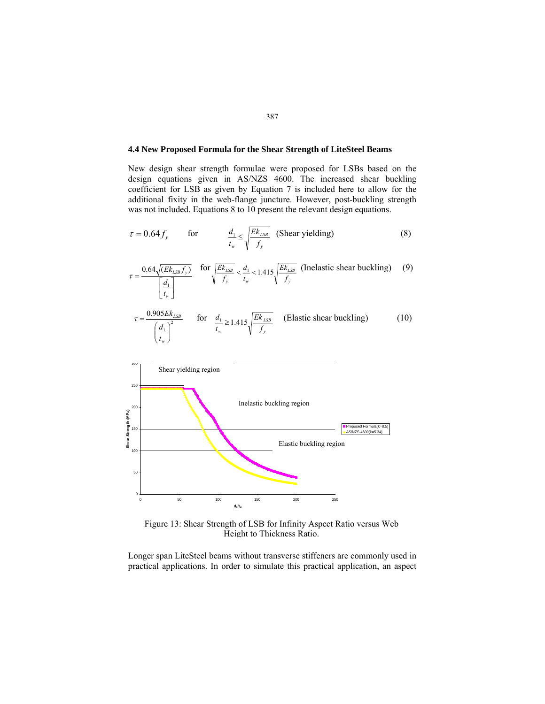# **4.4 New Proposed Formula for the Shear Strength of LiteSteel Beams**

New design shear strength formulae were proposed for LSBs based on the design equations given in AS/NZS 4600. The increased shear buckling coefficient for LSB as given by Equation 7 is included here to allow for the additional fixity in the web-flange juncture. However, post-buckling strength was not included. Equations 8 to 10 present the relevant design equations.

$$
\tau = 0.64 f_{y} \qquad \text{for} \qquad \frac{d_{1}}{t_{w}} \le \sqrt{\frac{Ek_{LSB}}{f_{y}}} \quad \text{(Shear yielding)} \tag{8}
$$

$$
\tau = \frac{0.64\sqrt{(Ek_{LSB}f_y)}}{\left[\frac{d_1}{t_w}\right]}
$$
 for  $\sqrt{\frac{Ek_{LSB}}{f_y}} < \frac{d_1}{t_w} < 1.415\sqrt{\frac{Ek_{LSB}}{f_y}}$  (Inelastic shear buckling) (9)  
0.905 *Ek*

$$
\tau = \frac{0.905 E k_{LSB}}{\left(\frac{d_1}{t_w}\right)^2} \qquad \text{for} \quad \frac{d_1}{t_w} \ge 1.415 \sqrt{\frac{E k_{LSB}}{f_y}} \qquad \text{(Elastic shear buckling)} \tag{10}
$$



Figure 13: Shear Strength of LSB for Infinity Aspect Ratio versus Web Height to Thickness Ratio.

Longer span LiteSteel beams without transverse stiffeners are commonly used in practical applications. In order to simulate this practical application, an aspect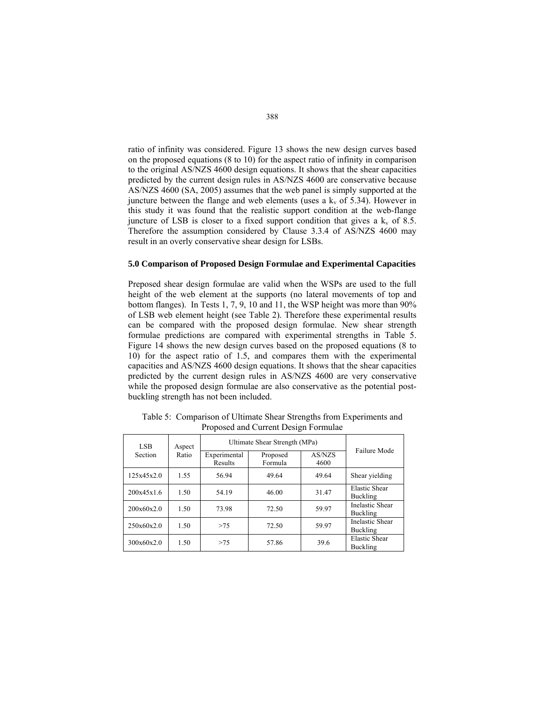ratio of infinity was considered. Figure 13 shows the new design curves based on the proposed equations (8 to 10) for the aspect ratio of infinity in comparison to the original AS/NZS 4600 design equations. It shows that the shear capacities predicted by the current design rules in AS/NZS 4600 are conservative because AS/NZS 4600 (SA, 2005) assumes that the web panel is simply supported at the juncture between the flange and web elements (uses a  $k<sub>v</sub>$  of 5.34). However in this study it was found that the realistic support condition at the web-flange juncture of LSB is closer to a fixed support condition that gives a  $k_v$  of 8.5. Therefore the assumption considered by Clause 3.3.4 of AS/NZS 4600 may result in an overly conservative shear design for LSBs.

# **5.0 Comparison of Proposed Design Formulae and Experimental Capacities**

Preposed shear design formulae are valid when the WSPs are used to the full height of the web element at the supports (no lateral movements of top and bottom flanges). In Tests 1, 7, 9, 10 and 11, the WSP height was more than 90% of LSB web element height (see Table 2). Therefore these experimental results can be compared with the proposed design formulae. New shear strength formulae predictions are compared with experimental strengths in Table 5. Figure 14 shows the new design curves based on the proposed equations (8 to 10) for the aspect ratio of 1.5, and compares them with the experimental capacities and AS/NZS 4600 design equations. It shows that the shear capacities predicted by the current design rules in AS/NZS 4600 are very conservative while the proposed design formulae are also conservative as the potential postbuckling strength has not been included.

| LSB.<br>Aspect<br>Section<br>Ratio |                         | Ultimate Shear Strength (MPa) |                |              |                                    |
|------------------------------------|-------------------------|-------------------------------|----------------|--------------|------------------------------------|
|                                    | Experimental<br>Results | Proposed<br>Formula           | AS/NZS<br>4600 | Failure Mode |                                    |
| 125x45x2.0                         | 1.55                    | 56.94                         | 49.64          | 49.64        | Shear yielding                     |
| 200x45x1.6                         | 1.50                    | 54.19                         | 46.00          | 31.47        | Elastic Shear<br><b>Buckling</b>   |
| 200x60x2.0                         | 1.50                    | 73.98                         | 72.50          | 59.97        | <b>Inelastic Shear</b><br>Buckling |
| 250x60x2.0                         | 1.50                    | >75                           | 72.50          | 59.97        | <b>Inelastic Shear</b><br>Buckling |
| 300x60x2.0                         | 1.50                    | >75                           | 57.86          | 39.6         | <b>Elastic Shear</b><br>Buckling   |

Table 5: Comparison of Ultimate Shear Strengths from Experiments and Proposed and Current Design Formulae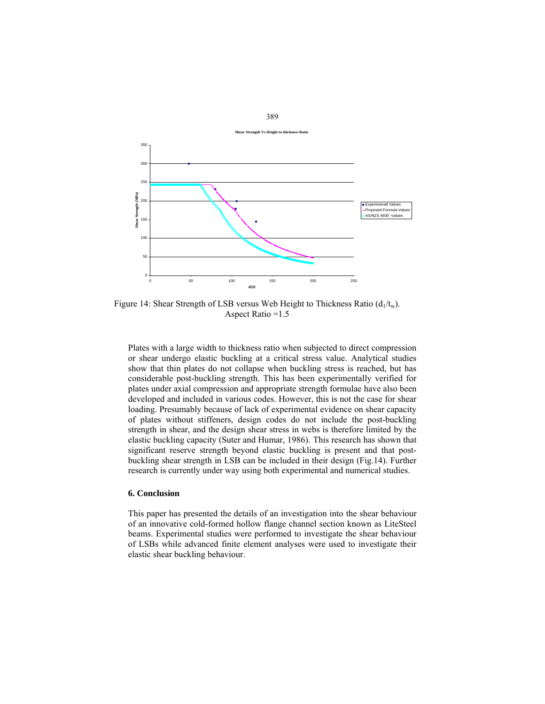

389

Figure 14: Shear Strength of LSB versus Web Height to Thickness Ratio  $(d_1/t_w)$ . Aspect Ratio =1.5

Plates with a large width to thickness ratio when subjected to direct compression or shear undergo elastic buckling at a critical stress value. Analytical studies show that thin plates do not collapse when buckling stress is reached, but has considerable post-buckling strength. This has been experimentally verified for plates under axial compression and appropriate strength formulae have also been developed and included in various codes. However, this is not the case for shear loading. Presumably because of lack of experimental evidence on shear capacity of plates without stiffeners, design codes do not include the post-buckling strength in shear, and the design shear stress in webs is therefore limited by the elastic buckling capacity (Suter and Humar, 1986). This research has shown that significant reserve strength beyond elastic buckling is present and that postbuckling shear strength in LSB can be included in their design (Fig.14). Further research is currently under way using both experimental and numerical studies.

# **6. Conclusion**

This paper has presented the details of an investigation into the shear behaviour of an innovative cold-formed hollow flange channel section known as LiteSteel beams. Experimental studies were performed to investigate the shear behaviour of LSBs while advanced finite element analyses were used to investigate their elastic shear buckling behaviour.